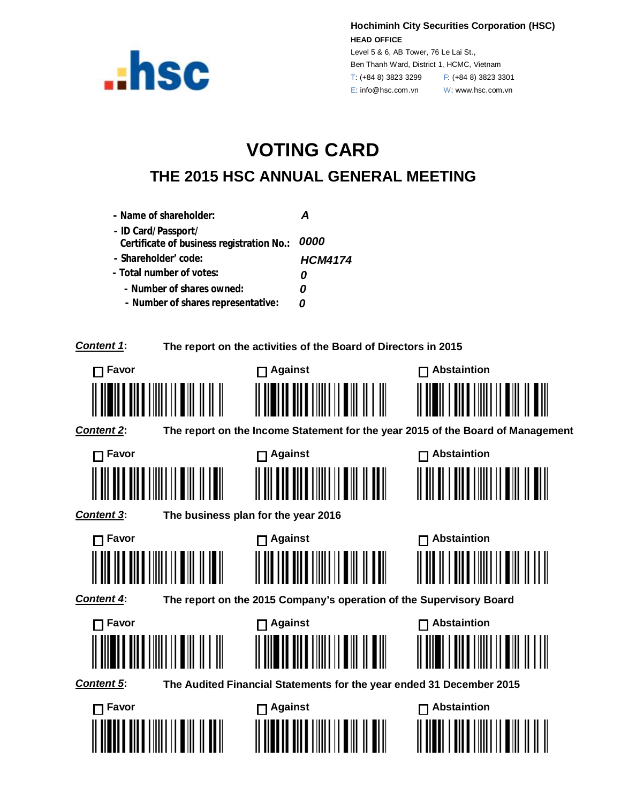

**Hochiminh City Securities Corporation (HSC) HEAD OFFICE**

Level 5 & 6, AB Tower, 76 Le Lai St., Ben Thanh Ward, District 1, HCMC, Vietnam T: (+84 8) 3823 3299 F: (+84 8) 3823 3301 E: info@hsc.com.vn W: www.hsc.com.vn

## **VOTING CARD THE 2015 HSC ANNUAL GENERAL MEETING**